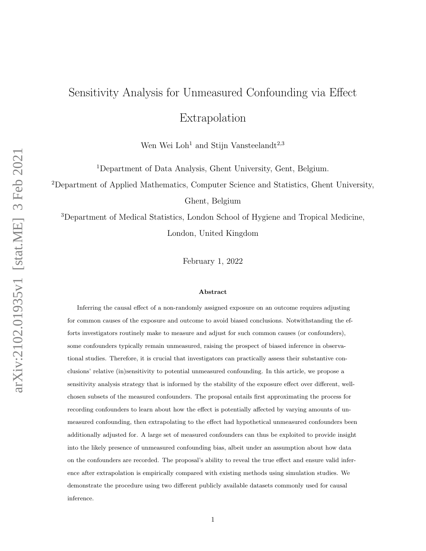# Sensitivity Analysis for Unmeasured Confounding via Effect Extrapolation

Wen Wei Loh<sup>1</sup> and Stijn Vansteelandt<sup>2,3</sup>

<sup>1</sup>Department of Data Analysis, Ghent University, Gent, Belgium.

<sup>2</sup>Department of Applied Mathematics, Computer Science and Statistics, Ghent University,

Ghent, Belgium

<sup>3</sup>Department of Medical Statistics, London School of Hygiene and Tropical Medicine, London, United Kingdom

February 1, 2022

#### Abstract

Inferring the causal effect of a non-randomly assigned exposure on an outcome requires adjusting for common causes of the exposure and outcome to avoid biased conclusions. Notwithstanding the efforts investigators routinely make to measure and adjust for such common causes (or confounders), some confounders typically remain unmeasured, raising the prospect of biased inference in observational studies. Therefore, it is crucial that investigators can practically assess their substantive conclusions' relative (in)sensitivity to potential unmeasured confounding. In this article, we propose a sensitivity analysis strategy that is informed by the stability of the exposure effect over different, wellchosen subsets of the measured confounders. The proposal entails first approximating the process for recording confounders to learn about how the effect is potentially affected by varying amounts of unmeasured confounding, then extrapolating to the effect had hypothetical unmeasured confounders been additionally adjusted for. A large set of measured confounders can thus be exploited to provide insight into the likely presence of unmeasured confounding bias, albeit under an assumption about how data on the confounders are recorded. The proposal's ability to reveal the true effect and ensure valid inference after extrapolation is empirically compared with existing methods using simulation studies. We demonstrate the procedure using two different publicly available datasets commonly used for causal inference.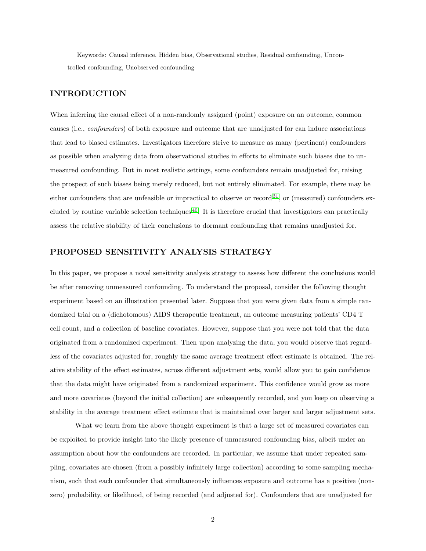Keywords: Causal inference, Hidden bias, Observational studies, Residual confounding, Uncontrolled confounding, Unobserved confounding

#### INTRODUCTION

When inferring the causal effect of a non-randomly assigned (point) exposure on an outcome, common causes (i.e., confounders) of both exposure and outcome that are unadjusted for can induce associations that lead to biased estimates. Investigators therefore strive to measure as many (pertinent) confounders as possible when analyzing data from observational studies in efforts to eliminate such biases due to unmeasured confounding. But in most realistic settings, some confounders remain unadjusted for, raising the prospect of such biases being merely reduced, but not entirely eliminated. For example, there may be either confounders that are unfeasible or impractical to observe or record  $31$ , or (measured) confounders excluded by routine variable selection techniques [40](#page-12-1). It is therefore crucial that investigators can practically assess the relative stability of their conclusions to dormant confounding that remains unadjusted for.

### PROPOSED SENSITIVITY ANALYSIS STRATEGY

In this paper, we propose a novel sensitivity analysis strategy to assess how different the conclusions would be after removing unmeasured confounding. To understand the proposal, consider the following thought experiment based on an illustration presented later. Suppose that you were given data from a simple randomized trial on a (dichotomous) AIDS therapeutic treatment, an outcome measuring patients' CD4 T cell count, and a collection of baseline covariates. However, suppose that you were not told that the data originated from a randomized experiment. Then upon analyzing the data, you would observe that regardless of the covariates adjusted for, roughly the same average treatment effect estimate is obtained. The relative stability of the effect estimates, across different adjustment sets, would allow you to gain confidence that the data might have originated from a randomized experiment. This confidence would grow as more and more covariates (beyond the initial collection) are subsequently recorded, and you keep on observing a stability in the average treatment effect estimate that is maintained over larger and larger adjustment sets.

What we learn from the above thought experiment is that a large set of measured covariates can be exploited to provide insight into the likely presence of unmeasured confounding bias, albeit under an assumption about how the confounders are recorded. In particular, we assume that under repeated sampling, covariates are chosen (from a possibly infinitely large collection) according to some sampling mechanism, such that each confounder that simultaneously influences exposure and outcome has a positive (nonzero) probability, or likelihood, of being recorded (and adjusted for). Confounders that are unadjusted for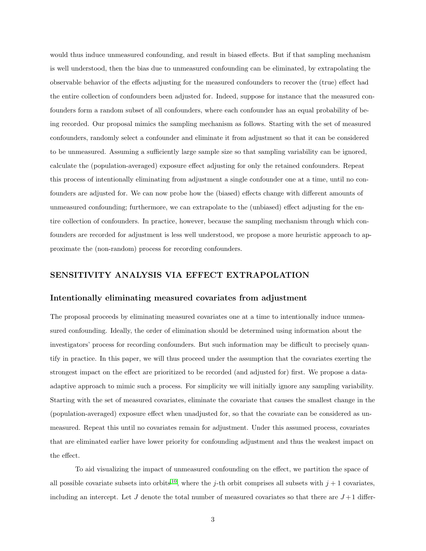would thus induce unmeasured confounding, and result in biased effects. But if that sampling mechanism is well understood, then the bias due to unmeasured confounding can be eliminated, by extrapolating the observable behavior of the effects adjusting for the measured confounders to recover the (true) effect had the entire collection of confounders been adjusted for. Indeed, suppose for instance that the measured confounders form a random subset of all confounders, where each confounder has an equal probability of being recorded. Our proposal mimics the sampling mechanism as follows. Starting with the set of measured confounders, randomly select a confounder and eliminate it from adjustment so that it can be considered to be unmeasured. Assuming a sufficiently large sample size so that sampling variability can be ignored, calculate the (population-averaged) exposure effect adjusting for only the retained confounders. Repeat this process of intentionally eliminating from adjustment a single confounder one at a time, until no confounders are adjusted for. We can now probe how the (biased) effects change with different amounts of unmeasured confounding; furthermore, we can extrapolate to the (unbiased) effect adjusting for the entire collection of confounders. In practice, however, because the sampling mechanism through which confounders are recorded for adjustment is less well understood, we propose a more heuristic approach to approximate the (non-random) process for recording confounders.

# SENSITIVITY ANALYSIS VIA EFFECT EXTRAPOLATION

#### Intentionally eliminating measured covariates from adjustment

The proposal proceeds by eliminating measured covariates one at a time to intentionally induce unmeasured confounding. Ideally, the order of elimination should be determined using information about the investigators' process for recording confounders. But such information may be difficult to precisely quantify in practice. In this paper, we will thus proceed under the assumption that the covariates exerting the strongest impact on the effect are prioritized to be recorded (and adjusted for) first. We propose a dataadaptive approach to mimic such a process. For simplicity we will initially ignore any sampling variability. Starting with the set of measured covariates, eliminate the covariate that causes the smallest change in the (population-averaged) exposure effect when unadjusted for, so that the covariate can be considered as unmeasured. Repeat this until no covariates remain for adjustment. Under this assumed process, covariates that are eliminated earlier have lower priority for confounding adjustment and thus the weakest impact on the effect.

To aid visualizing the impact of unmeasured confounding on the effect, we partition the space of all possible covariate subsets into orbits <sup>[10](#page-10-0)</sup>, where the *j*-th orbit comprises all subsets with  $j + 1$  covariates, including an intercept. Let J denote the total number of measured covariates so that there are  $J+1$  differ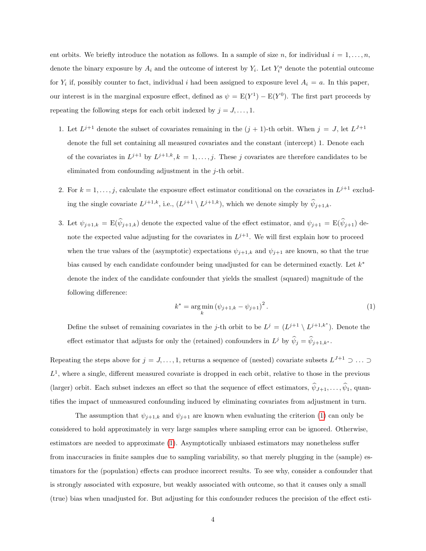ent orbits. We briefly introduce the notation as follows. In a sample of size n, for individual  $i = 1, \ldots, n$ , denote the binary exposure by  $A_i$  and the outcome of interest by  $Y_i$ . Let  $Y_i^a$  denote the potential outcome for  $Y_i$  if, possibly counter to fact, individual i had been assigned to exposure level  $A_i = a$ . In this paper, our interest is in the marginal exposure effect, defined as  $\psi = E(Y^1) - E(Y^0)$ . The first part proceeds by repeating the following steps for each orbit indexed by  $j = J, \ldots, 1$ .

- 1. Let  $L^{j+1}$  denote the subset of covariates remaining in the  $(j + 1)$ -th orbit. When  $j = J$ , let  $L^{J+1}$ denote the full set containing all measured covariates and the constant (intercept) 1. Denote each of the covariates in  $L^{j+1}$  by  $L^{j+1,k}, k = 1, \ldots, j$ . These j covariates are therefore candidates to be eliminated from confounding adjustment in the j-th orbit.
- 2. For  $k = 1, \ldots, j$ , calculate the exposure effect estimator conditional on the covariates in  $L^{j+1}$  excluding the single covariate  $L^{j+1,k}$ , i.e.,  $(L^{j+1} \setminus L^{j+1,k})$ , which we denote simply by  $\hat{\psi}_{j+1,k}$ .
- 3. Let  $\psi_{j+1,k} = \mathbb{E}(\widehat{\psi}_{j+1,k})$  denote the expected value of the effect estimator, and  $\psi_{j+1} = \mathbb{E}(\widehat{\psi}_{j+1})$  denote the expected value adjusting for the covariates in  $L^{j+1}$ . We will first explain how to proceed when the true values of the (asymptotic) expectations  $\psi_{j+1,k}$  and  $\psi_{j+1}$  are known, so that the true bias caused by each candidate confounder being unadjusted for can be determined exactly. Let  $k^*$ denote the index of the candidate confounder that yields the smallest (squared) magnitude of the following difference:

<span id="page-3-0"></span>
$$
k^* = \underset{k}{\arg\min} (\psi_{j+1,k} - \psi_{j+1})^2.
$$
 (1)

Define the subset of remaining covariates in the j-th orbit to be  $L^j = (L^{j+1} \setminus L^{j+1,k^*})$ . Denote the effect estimator that adjusts for only the (retained) confounders in  $L^j$  by  $\hat{\psi}_j = \hat{\psi}_{j+1,k^*}$ .

Repeating the steps above for  $j = J, \ldots, 1$ , returns a sequence of (nested) covariate subsets  $L^{J+1} \supset \ldots \supset$  $L^1$ , where a single, different measured covariate is dropped in each orbit, relative to those in the previous (larger) orbit. Each subset indexes an effect so that the sequence of effect estimators,  $\hat{\psi}_{J+1}, \ldots, \hat{\psi}_1$ , quantifies the impact of unmeasured confounding induced by eliminating covariates from adjustment in turn.

The assumption that  $\psi_{j+1,k}$  and  $\psi_{j+1}$  are known when evaluating the criterion [\(1\)](#page-3-0) can only be considered to hold approximately in very large samples where sampling error can be ignored. Otherwise, estimators are needed to approximate [\(1\)](#page-3-0). Asymptotically unbiased estimators may nonetheless suffer from inaccuracies in finite samples due to sampling variability, so that merely plugging in the (sample) estimators for the (population) effects can produce incorrect results. To see why, consider a confounder that is strongly associated with exposure, but weakly associated with outcome, so that it causes only a small (true) bias when unadjusted for. But adjusting for this confounder reduces the precision of the effect esti-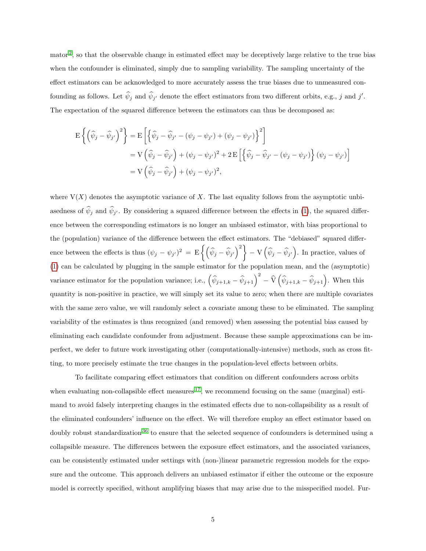mator<sup>[2](#page-9-0)</sup>, so that the observable change in estimated effect may be deceptively large relative to the true bias when the confounder is eliminated, simply due to sampling variability. The sampling uncertainty of the effect estimators can be acknowledged to more accurately assess the true biases due to unmeasured confounding as follows. Let  $\hat{\psi}_j$  and  $\hat{\psi}_{j'}$  denote the effect estimators from two different orbits, e.g., j and j'. The expectation of the squared difference between the estimators can thus be decomposed as:

$$
\mathcal{E}\left\{ \left(\widehat{\psi}_j - \widehat{\psi}_{j'}\right)^2 \right\} = \mathcal{E}\left[ \left\{ \widehat{\psi}_j - \widehat{\psi}_{j'} - (\psi_j - \psi_{j'}) + (\psi_j - \psi_{j'}) \right\}^2 \right]
$$
  
\n
$$
= \mathcal{V}\left(\widehat{\psi}_j - \widehat{\psi}_{j'}\right) + (\psi_j - \psi_{j'})^2 + 2\mathcal{E}\left[ \left\{ \widehat{\psi}_j - \widehat{\psi}_{j'} - (\psi_j - \psi_{j'}) \right\} (\psi_j - \psi_{j'}) \right]
$$
  
\n
$$
= \mathcal{V}\left(\widehat{\psi}_j - \widehat{\psi}_{j'}\right) + (\psi_j - \psi_{j'})^2,
$$

where  $V(X)$  denotes the asymptotic variance of X. The last equality follows from the asymptotic unbiasedness of  $\psi_j$  and  $\psi_{j'}$ . By considering a squared difference between the effects in [\(1\)](#page-3-0), the squared difference between the corresponding estimators is no longer an unbiased estimator, with bias proportional to the (population) variance of the difference between the effect estimators. The "debiased" squared difference between the effects is thus  $(\psi_j - \psi_{j'})^2 = E\left\{ \left( \widehat{\psi}_j - \widehat{\psi}_{j'} \right)^2 \right\} - V\left( \widehat{\psi}_j - \widehat{\psi}_{j'} \right)$ . In practice, values of [\(1\)](#page-3-0) can be calculated by plugging in the sample estimator for the population mean, and the (asymptotic) variance estimator for the population variance; i.e.,  $(\hat{\psi}_{j+1,k} - \hat{\psi}_{j+1})^2 - \hat{V}(\hat{\psi}_{j+1,k} - \hat{\psi}_{j+1})$ . When this quantity is non-positive in practice, we will simply set its value to zero; when there are multiple covariates with the same zero value, we will randomly select a covariate among these to be eliminated. The sampling variability of the estimates is thus recognized (and removed) when assessing the potential bias caused by eliminating each candidate confounder from adjustment. Because these sample approximations can be imperfect, we defer to future work investigating other (computationally-intensive) methods, such as cross fitting, to more precisely estimate the true changes in the population-level effects between orbits.

To facilitate comparing effect estimators that condition on different confounders across orbits when evaluating non-collapsible effect measures  $17$ , we recommend focusing on the same (marginal) estimand to avoid falsely interpreting changes in the estimated effects due to non-collapsibility as a result of the eliminated confounders' influence on the effect. We will therefore employ an effect estimator based on doubly robust standardization<sup>[36](#page-12-2)</sup> to ensure that the selected sequence of confounders is determined using a collapsible measure. The differences between the exposure effect estimators, and the associated variances, can be consistently estimated under settings with (non-)linear parametric regression models for the exposure and the outcome. This approach delivers an unbiased estimator if either the outcome or the exposure model is correctly specified, without amplifying biases that may arise due to the misspecified model. Fur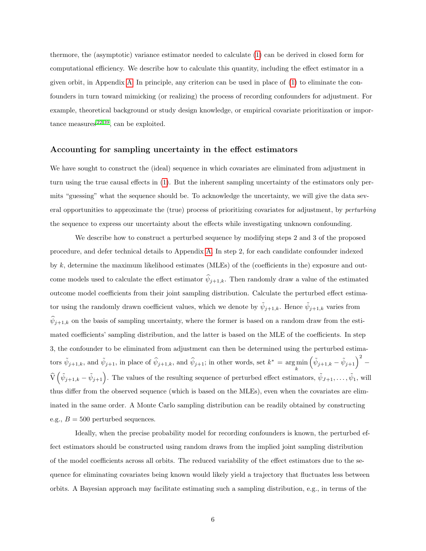thermore, the (asymptotic) variance estimator needed to calculate [\(1\)](#page-3-0) can be derived in closed form for computational efficiency. We describe how to calculate this quantity, including the effect estimator in a given orbit, in Appendix [A.](#page-14-0) In principle, any criterion can be used in place of [\(1\)](#page-3-0) to eliminate the confounders in turn toward mimicking (or realizing) the process of recording confounders for adjustment. For example, theoretical background or study design knowledge, or empirical covariate prioritization or importance measures  $22,39$  $22,39$ , can be exploited.

#### Accounting for sampling uncertainty in the effect estimators

We have sought to construct the (ideal) sequence in which covariates are eliminated from adjustment in turn using the true causal effects in [\(1\)](#page-3-0). But the inherent sampling uncertainty of the estimators only permits "guessing" what the sequence should be. To acknowledge the uncertainty, we will give the data several opportunities to approximate the (true) process of prioritizing covariates for adjustment, by perturbing the sequence to express our uncertainty about the effects while investigating unknown confounding.

We describe how to construct a perturbed sequence by modifying steps 2 and 3 of the proposed procedure, and defer technical details to Appendix [A.](#page-14-0) In step 2, for each candidate confounder indexed by k, determine the maximum likelihood estimates (MLEs) of the (coefficients in the) exposure and outcome models used to calculate the effect estimator  $\hat{\psi}_{j+1,k}$ . Then randomly draw a value of the estimated outcome model coefficients from their joint sampling distribution. Calculate the perturbed effect estimator using the randomly drawn coefficient values, which we denote by  $\tilde{\psi}_{j+1,k}$ . Hence  $\tilde{\psi}_{j+1,k}$  varies from  $\widehat{\psi}_{j+1,k}$  on the basis of sampling uncertainty, where the former is based on a random draw from the estimated coefficients' sampling distribution, and the latter is based on the MLE of the coefficients. In step 3, the confounder to be eliminated from adjustment can then be determined using the perturbed estimators  $\tilde{\psi}_{j+1,k}$ , and  $\tilde{\psi}_{j+1}$ , in place of  $\hat{\psi}_{j+1,k}$ , and  $\hat{\psi}_{j+1}$ ; in other words, set  $k^* = \underset{k}{\arg\min}$  $\left(\tilde{\psi}_{j+1,k}-\tilde{\psi}_{j+1}\right)^2$  –  $\widehat{V}(\tilde{\psi}_{j+1,k} - \tilde{\psi}_{j+1})$ . The values of the resulting sequence of perturbed effect estimators,  $\tilde{\psi}_{J+1}, \ldots, \tilde{\psi}_1$ , will thus differ from the observed sequence (which is based on the MLEs), even when the covariates are eliminated in the same order. A Monte Carlo sampling distribution can be readily obtained by constructing e.g.,  $B = 500$  perturbed sequences.

Ideally, when the precise probability model for recording confounders is known, the perturbed effect estimators should be constructed using random draws from the implied joint sampling distribution of the model coefficients across all orbits. The reduced variability of the effect estimators due to the sequence for eliminating covariates being known would likely yield a trajectory that fluctuates less between orbits. A Bayesian approach may facilitate estimating such a sampling distribution, e.g., in terms of the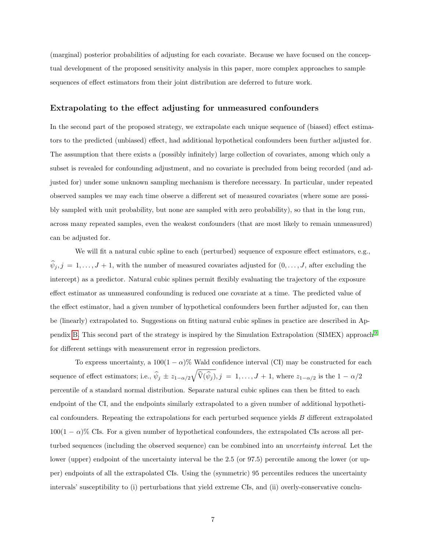(marginal) posterior probabilities of adjusting for each covariate. Because we have focused on the conceptual development of the proposed sensitivity analysis in this paper, more complex approaches to sample sequences of effect estimators from their joint distribution are deferred to future work.

#### Extrapolating to the effect adjusting for unmeasured confounders

In the second part of the proposed strategy, we extrapolate each unique sequence of (biased) effect estimators to the predicted (unbiased) effect, had additional hypothetical confounders been further adjusted for. The assumption that there exists a (possibly infinitely) large collection of covariates, among which only a subset is revealed for confounding adjustment, and no covariate is precluded from being recorded (and adjusted for) under some unknown sampling mechanism is therefore necessary. In particular, under repeated observed samples we may each time observe a different set of measured covariates (where some are possibly sampled with unit probability, but none are sampled with zero probability), so that in the long run, across many repeated samples, even the weakest confounders (that are most likely to remain unmeasured) can be adjusted for.

We will fit a natural cubic spline to each (perturbed) sequence of exposure effect estimators, e.g.,  $\hat{\psi}_j, j = 1, \ldots, J + 1$ , with the number of measured covariates adjusted for  $(0, \ldots, J)$ , after excluding the intercept) as a predictor. Natural cubic splines permit flexibly evaluating the trajectory of the exposure effect estimator as unmeasured confounding is reduced one covariate at a time. The predicted value of the effect estimator, had a given number of hypothetical confounders been further adjusted for, can then be (linearly) extrapolated to. Suggestions on fitting natural cubic splines in practice are described in Appendix [B.](#page-16-0) This second part of the strategy is inspired by the Simulation Extrapolation (SIMEX) approach [9](#page-10-1) for different settings with measurement error in regression predictors.

To express uncertainty, a  $100(1 - \alpha)$ % Wald confidence interval (CI) may be constructed for each sequence of effect estimators; i.e.,  $\hat{\psi}_j \pm z_{1-\alpha/2} \sqrt{\hat{\mathbf{V}}(\hat{\psi}_j)}, j = 1, \ldots, J+1$ , where  $z_{1-\alpha/2}$  is the  $1-\alpha/2$ percentile of a standard normal distribution. Separate natural cubic splines can then be fitted to each endpoint of the CI, and the endpoints similarly extrapolated to a given number of additional hypothetical confounders. Repeating the extrapolations for each perturbed sequence yields  $B$  different extrapolated  $100(1 - \alpha)$ % CIs. For a given number of hypothetical confounders, the extrapolated CIs across all perturbed sequences (including the observed sequence) can be combined into an uncertainty interval. Let the lower (upper) endpoint of the uncertainty interval be the 2.5 (or 97.5) percentile among the lower (or upper) endpoints of all the extrapolated CIs. Using the (symmetric) 95 percentiles reduces the uncertainty intervals' susceptibility to (i) perturbations that yield extreme CIs, and (ii) overly-conservative conclu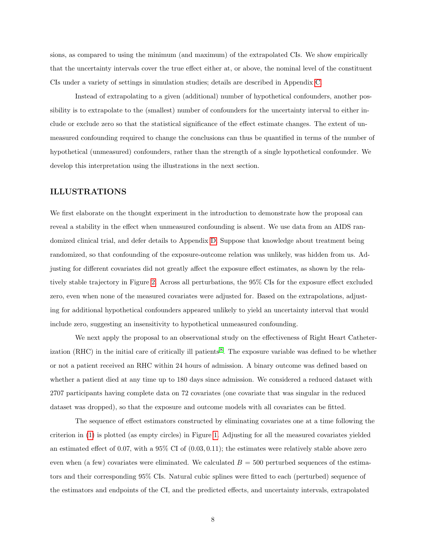sions, as compared to using the minimum (and maximum) of the extrapolated CIs. We show empirically that the uncertainty intervals cover the true effect either at, or above, the nominal level of the constituent CIs under a variety of settings in simulation studies; details are described in Appendix [C.](#page-17-0)

Instead of extrapolating to a given (additional) number of hypothetical confounders, another possibility is to extrapolate to the (smallest) number of confounders for the uncertainty interval to either include or exclude zero so that the statistical significance of the effect estimate changes. The extent of unmeasured confounding required to change the conclusions can thus be quantified in terms of the number of hypothetical (unmeasured) confounders, rather than the strength of a single hypothetical confounder. We develop this interpretation using the illustrations in the next section.

#### ILLUSTRATIONS

We first elaborate on the thought experiment in the introduction to demonstrate how the proposal can reveal a stability in the effect when unmeasured confounding is absent. We use data from an AIDS randomized clinical trial, and defer details to Appendix [D.](#page-23-0) Suppose that knowledge about treatment being randomized, so that confounding of the exposure-outcome relation was unlikely, was hidden from us. Adjusting for different covariates did not greatly affect the exposure effect estimates, as shown by the relatively stable trajectory in Figure [2.](#page-24-0) Across all perturbations, the 95% CIs for the exposure effect excluded zero, even when none of the measured covariates were adjusted for. Based on the extrapolations, adjusting for additional hypothetical confounders appeared unlikely to yield an uncertainty interval that would include zero, suggesting an insensitivity to hypothetical unmeasured confounding.

We next apply the proposal to an observational study on the effectiveness of Right Heart Catheter-ization (RHC) in the initial care of critically ill patients<sup>[8](#page-10-2)</sup>. The exposure variable was defined to be whether or not a patient received an RHC within 24 hours of admission. A binary outcome was defined based on whether a patient died at any time up to 180 days since admission. We considered a reduced dataset with 2707 participants having complete data on 72 covariates (one covariate that was singular in the reduced dataset was dropped), so that the exposure and outcome models with all covariates can be fitted.

The sequence of effect estimators constructed by eliminating covariates one at a time following the criterion in [\(1\)](#page-3-0) is plotted (as empty circles) in Figure [1.](#page-13-0) Adjusting for all the measured covariates yielded an estimated effect of 0.07, with a 95% CI of (0.03, 0.11); the estimates were relatively stable above zero even when (a few) covariates were eliminated. We calculated  $B = 500$  perturbed sequences of the estimators and their corresponding 95% CIs. Natural cubic splines were fitted to each (perturbed) sequence of the estimators and endpoints of the CI, and the predicted effects, and uncertainty intervals, extrapolated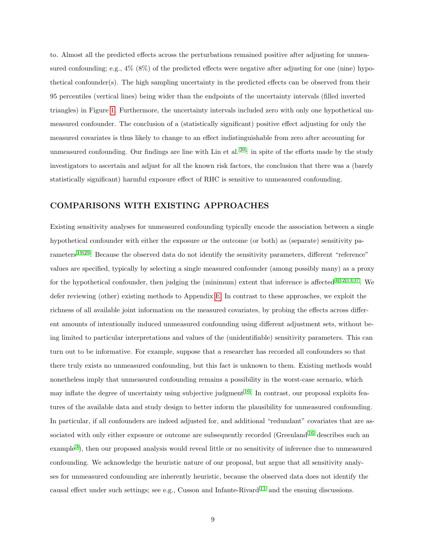to. Almost all the predicted effects across the perturbations remained positive after adjusting for unmeasured confounding; e.g.,  $4\%$  (8%) of the predicted effects were negative after adjusting for one (nine) hypothetical confounder(s). The high sampling uncertainty in the predicted effects can be observed from their 95 percentiles (vertical lines) being wider than the endpoints of the uncertainty intervals (filled inverted triangles) in Figure [1.](#page-13-0) Furthermore, the uncertainty intervals included zero with only one hypothetical unmeasured confounder. The conclusion of a (statistically significant) positive effect adjusting for only the measured covariates is thus likely to change to an effect indistinguishable from zero after accounting for unmeasured confounding. Our findings are line with Lin et al.  $20$ : in spite of the efforts made by the study investigators to ascertain and adjust for all the known risk factors, the conclusion that there was a (barely statistically significant) harmful exposure effect of RHC is sensitive to unmeasured confounding.

# COMPARISONS WITH EXISTING APPROACHES

Existing sensitivity analyses for unmeasured confounding typically encode the association between a single hypothetical confounder with either the exposure or the outcome (or both) as (separate) sensitivity parameters [19,](#page-11-3)[29](#page-12-4). Because the observed data do not identify the sensitivity parameters, different "reference" values are specified, typically by selecting a single measured confounder (among possibly many) as a proxy for the hypothetical confounder, then judging the (minimum) extent that inference is affected  $4,12,13,37$  $4,12,13,37$  $4,12,13,37$  $4,12,13,37$ . We defer reviewing (other) existing methods to Appendix [E.](#page-24-1) In contrast to these approaches, we exploit the richness of all available joint information on the measured covariates, by probing the effects across different amounts of intentionally induced unmeasured confounding using different adjustment sets, without being limited to particular interpretations and values of the (unidentifiable) sensitivity parameters. This can turn out to be informative. For example, suppose that a researcher has recorded all confounders so that there truly exists no unmeasured confounding, but this fact is unknown to them. Existing methods would nonetheless imply that unmeasured confounding remains a possibility in the worst-case scenario, which may inflate the degree of uncertainty using subjective judgment  $^{16}$  $^{16}$  $^{16}$ . In contrast, our proposal exploits features of the available data and study design to better inform the plausibility for unmeasured confounding. In particular, if all confounders are indeed adjusted for, and additional "redundant" covariates that are as-sociated with only either exposure or outcome are subsequently recorded (Greenland <sup>[16](#page-10-5)</sup> describes such an example<sup>[3](#page-9-2)</sup>), then our proposed analysis would reveal little or no sensitivity of inference due to unmeasured confounding. We acknowledge the heuristic nature of our proposal, but argue that all sensitivity analyses for unmeasured confounding are inherently heuristic, because the observed data does not identify the causal effect under such settings; see e.g., Cusson and Infante-Rivard [11](#page-10-6) and the ensuing discussions.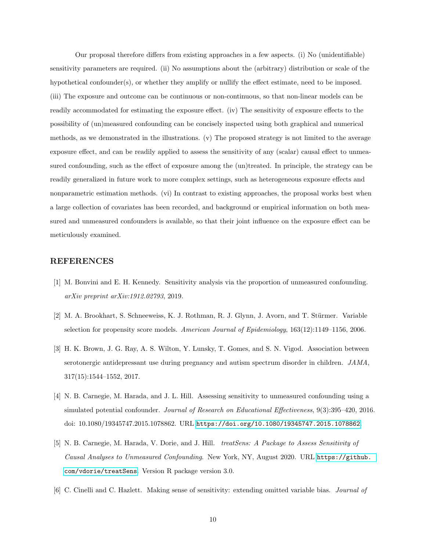Our proposal therefore differs from existing approaches in a few aspects. (i) No (unidentifiable) sensitivity parameters are required. (ii) No assumptions about the (arbitrary) distribution or scale of the hypothetical confounder(s), or whether they amplify or nullify the effect estimate, need to be imposed. (iii) The exposure and outcome can be continuous or non-continuous, so that non-linear models can be readily accommodated for estimating the exposure effect. (iv) The sensitivity of exposure effects to the possibility of (un)measured confounding can be concisely inspected using both graphical and numerical methods, as we demonstrated in the illustrations. (v) The proposed strategy is not limited to the average exposure effect, and can be readily applied to assess the sensitivity of any (scalar) causal effect to unmeasured confounding, such as the effect of exposure among the (un)treated. In principle, the strategy can be readily generalized in future work to more complex settings, such as heterogeneous exposure effects and nonparametric estimation methods. (vi) In contrast to existing approaches, the proposal works best when a large collection of covariates has been recorded, and background or empirical information on both measured and unmeasured confounders is available, so that their joint influence on the exposure effect can be meticulously examined.

#### REFERENCES

- <span id="page-9-5"></span>[1] M. Bonvini and E. H. Kennedy. Sensitivity analysis via the proportion of unmeasured confounding. arXiv preprint arXiv:1912.02793, 2019.
- <span id="page-9-0"></span>[2] M. A. Brookhart, S. Schneeweiss, K. J. Rothman, R. J. Glynn, J. Avorn, and T. Stürmer. Variable selection for propensity score models. American Journal of Epidemiology, 163(12):1149–1156, 2006.
- <span id="page-9-2"></span>[3] H. K. Brown, J. G. Ray, A. S. Wilton, Y. Lunsky, T. Gomes, and S. N. Vigod. Association between serotonergic antidepressant use during pregnancy and autism spectrum disorder in children. JAMA, 317(15):1544–1552, 2017.
- <span id="page-9-1"></span>[4] N. B. Carnegie, M. Harada, and J. L. Hill. Assessing sensitivity to unmeasured confounding using a simulated potential confounder. Journal of Research on Educational Effectiveness, 9(3):395–420, 2016. doi: 10.1080/19345747.2015.1078862. URL <https://doi.org/10.1080/19345747.2015.1078862>.
- <span id="page-9-3"></span>[5] N. B. Carnegie, M. Harada, V. Dorie, and J. Hill. treatSens: A Package to Assess Sensitivity of Causal Analyses to Unmeasured Confounding. New York, NY, August 2020. URL [https://github.](https://github.com/vdorie/treatSens) [com/vdorie/treatSens](https://github.com/vdorie/treatSens). Version R package version 3.0.
- <span id="page-9-4"></span>[6] C. Cinelli and C. Hazlett. Making sense of sensitivity: extending omitted variable bias. Journal of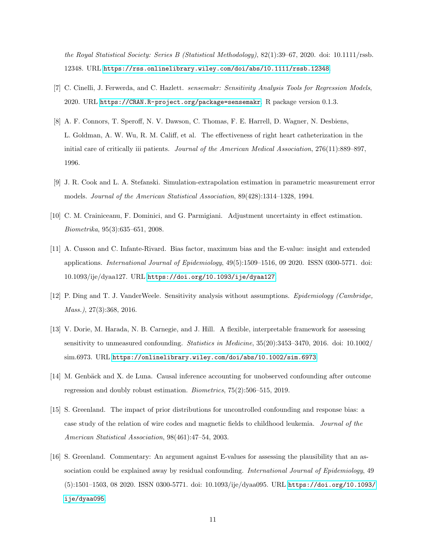the Royal Statistical Society: Series B (Statistical Methodology), 82(1):39–67, 2020. doi: 10.1111/rssb. 12348. URL <https://rss.onlinelibrary.wiley.com/doi/abs/10.1111/rssb.12348>.

- <span id="page-10-7"></span>[7] C. Cinelli, J. Ferwerda, and C. Hazlett. sensemakr: Sensitivity Analysis Tools for Regression Models, 2020. URL <https://CRAN.R-project.org/package=sensemakr>. R package version 0.1.3.
- <span id="page-10-2"></span>[8] A. F. Connors, T. Speroff, N. V. Dawson, C. Thomas, F. E. Harrell, D. Wagner, N. Desbiens, L. Goldman, A. W. Wu, R. M. Califf, et al. The effectiveness of right heart catheterization in the initial care of critically iii patients. Journal of the American Medical Association, 276(11):889–897, 1996.
- <span id="page-10-1"></span>[9] J. R. Cook and L. A. Stefanski. Simulation-extrapolation estimation in parametric measurement error models. Journal of the American Statistical Association, 89(428):1314–1328, 1994.
- <span id="page-10-0"></span>[10] C. M. Crainiceanu, F. Dominici, and G. Parmigiani. Adjustment uncertainty in effect estimation. Biometrika, 95(3):635–651, 2008.
- <span id="page-10-6"></span>[11] A. Cusson and C. Infante-Rivard. Bias factor, maximum bias and the E-value: insight and extended applications. International Journal of Epidemiology, 49(5):1509–1516, 09 2020. ISSN 0300-5771. doi: 10.1093/ije/dyaa127. URL <https://doi.org/10.1093/ije/dyaa127>.
- <span id="page-10-3"></span>[12] P. Ding and T. J. VanderWeele. Sensitivity analysis without assumptions. Epidemiology (Cambridge, Mass.), 27(3):368, 2016.
- <span id="page-10-4"></span>[13] V. Dorie, M. Harada, N. B. Carnegie, and J. Hill. A flexible, interpretable framework for assessing sensitivity to unmeasured confounding. Statistics in Medicine, 35(20):3453–3470, 2016. doi: 10.1002/ sim.6973. URL <https://onlinelibrary.wiley.com/doi/abs/10.1002/sim.6973>.
- <span id="page-10-8"></span>[14] M. Genbäck and X. de Luna. Causal inference accounting for unobserved confounding after outcome regression and doubly robust estimation. Biometrics, 75(2):506–515, 2019.
- <span id="page-10-9"></span>[15] S. Greenland. The impact of prior distributions for uncontrolled confounding and response bias: a case study of the relation of wire codes and magnetic fields to childhood leukemia. Journal of the American Statistical Association, 98(461):47–54, 2003.
- <span id="page-10-5"></span>[16] S. Greenland. Commentary: An argument against E-values for assessing the plausibility that an association could be explained away by residual confounding. International Journal of Epidemiology, 49 (5):1501–1503, 08 2020. ISSN 0300-5771. doi: 10.1093/ije/dyaa095. URL [https://doi.org/10.1093/](https://doi.org/10.1093/ije/dyaa095) [ije/dyaa095](https://doi.org/10.1093/ije/dyaa095).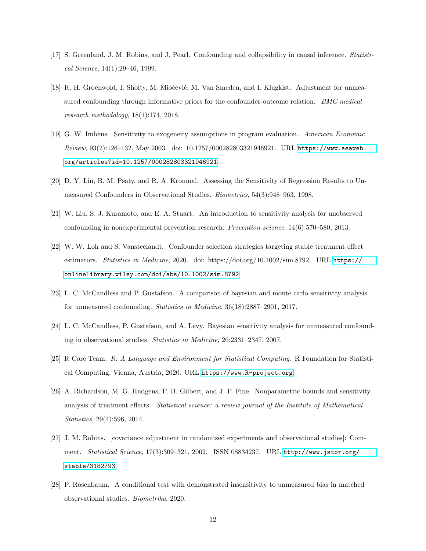- <span id="page-11-0"></span>[17] S. Greenland, J. M. Robins, and J. Pearl. Confounding and collapsibility in causal inference. Statistical Science, 14(1):29–46, 1999.
- <span id="page-11-8"></span>[18] R. H. Groenwold, I. Shofty, M. Miočević, M. Van Smeden, and I. Klugkist. Adjustment for unmeasured confounding through informative priors for the confounder-outcome relation. BMC medical research methodology, 18(1):174, 2018.
- <span id="page-11-3"></span>[19] G. W. Imbens. Sensitivity to exogeneity assumptions in program evaluation. American Economic Review, 93(2):126–132, May 2003. doi: 10.1257/000282803321946921. URL [https://www.aeaweb.](https://www.aeaweb.org/articles?id=10.1257/000282803321946921) [org/articles?id=10.1257/000282803321946921](https://www.aeaweb.org/articles?id=10.1257/000282803321946921).
- <span id="page-11-2"></span>[20] D. Y. Lin, B. M. Psaty, and R. A. Kronmal. Assessing the Sensitivity of Regression Results to Unmeasured Confounders in Observational Studies. Biometrics, 54(3):948–963, 1998.
- <span id="page-11-7"></span>[21] W. Liu, S. J. Kuramoto, and E. A. Stuart. An introduction to sensitivity analysis for unobserved confounding in nonexperimental prevention research. Prevention science, 14(6):570–580, 2013.
- <span id="page-11-1"></span>[22] W. W. Loh and S. Vansteelandt. Confounder selection strategies targeting stable treatment effect estimators. Statistics in Medicine, 2020. doi: https://doi.org/10.1002/sim.8792. URL [https://](https://onlinelibrary.wiley.com/doi/abs/10.1002/sim.8792) [onlinelibrary.wiley.com/doi/abs/10.1002/sim.8792](https://onlinelibrary.wiley.com/doi/abs/10.1002/sim.8792).
- <span id="page-11-9"></span>[23] L. C. McCandless and P. Gustafson. A comparison of bayesian and monte carlo sensitivity analysis for unmeasured confounding. Statistics in Medicine, 36(18):2887–2901, 2017.
- <span id="page-11-10"></span>[24] L. C. McCandless, P. Gustafson, and A. Levy. Bayesian sensitivity analysis for unmeasured confounding in observational studies. Statistics in Medicine, 26:2331–2347, 2007.
- <span id="page-11-4"></span>[25] R Core Team. R: A Language and Environment for Statistical Computing. R Foundation for Statistical Computing, Vienna, Austria, 2020. URL <https://www.R-project.org>.
- <span id="page-11-6"></span>[26] A. Richardson, M. G. Hudgens, P. B. Gilbert, and J. P. Fine. Nonparametric bounds and sensitivity analysis of treatment effects. Statistical science: a review journal of the Institute of Mathematical Statistics, 29(4):596, 2014.
- <span id="page-11-11"></span>[27] J. M. Robins. [covariance adjustment in randomized experiments and observational studies]: Comment. Statistical Science, 17(3):309–321, 2002. ISSN 08834237. URL [http://www.jstor.org/](http://www.jstor.org/stable/3182793) [stable/3182793](http://www.jstor.org/stable/3182793).
- <span id="page-11-5"></span>[28] P. Rosenbaum. A conditional test with demonstrated insensitivity to unmeasured bias in matched observational studies. Biometrika, 2020.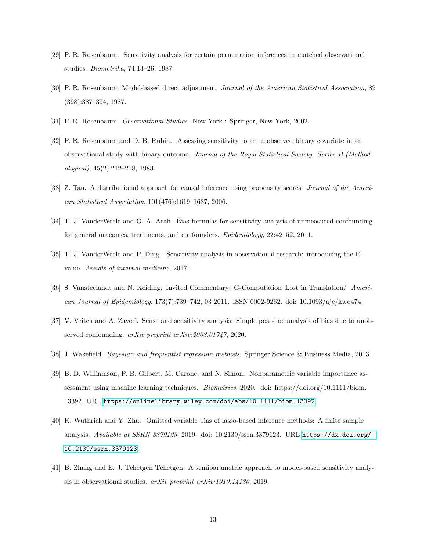- <span id="page-12-4"></span>[29] P. R. Rosenbaum. Sensitivity analysis for certain permutation inferences in matched observational studies. Biometrika, 74:13–26, 1987.
- <span id="page-12-6"></span>[30] P. R. Rosenbaum. Model-based direct adjustment. Journal of the American Statistical Association, 82 (398):387–394, 1987.
- <span id="page-12-0"></span>[31] P. R. Rosenbaum. *Observational Studies*. New York : Springer, New York, 2002.
- <span id="page-12-9"></span>[32] P. R. Rosenbaum and D. B. Rubin. Assessing sensitivity to an unobserved binary covariate in an observational study with binary outcome. Journal of the Royal Statistical Society: Series B (Methodological), 45(2):212–218, 1983.
- <span id="page-12-8"></span>[33] Z. Tan. A distributional approach for causal inference using propensity scores. Journal of the American Statistical Association, 101(476):1619–1637, 2006.
- <span id="page-12-10"></span>[34] T. J. VanderWeele and O. A. Arah. Bias formulas for sensitivity analysis of unmeasured confounding for general outcomes, treatments, and confounders. Epidemiology, 22:42–52, 2011.
- <span id="page-12-11"></span>[35] T. J. VanderWeele and P. Ding. Sensitivity analysis in observational research: introducing the Evalue. Annals of internal medicine, 2017.
- <span id="page-12-2"></span>[36] S. Vansteelandt and N. Keiding. Invited Commentary: G-Computation–Lost in Translation? American Journal of Epidemiology, 173(7):739–742, 03 2011. ISSN 0002-9262. doi: 10.1093/aje/kwq474.
- <span id="page-12-5"></span>[37] V. Veitch and A. Zaveri. Sense and sensitivity analysis: Simple post-hoc analysis of bias due to unobserved confounding. *arXiv preprint arXiv:2003.01747*, 2020.
- <span id="page-12-7"></span>[38] J. Wakefield. Bayesian and frequentist regression methods. Springer Science & Business Media, 2013.
- <span id="page-12-3"></span>[39] B. D. Williamson, P. B. Gilbert, M. Carone, and N. Simon. Nonparametric variable importance assessment using machine learning techniques. Biometrics, 2020. doi: https://doi.org/10.1111/biom. 13392. URL <https://onlinelibrary.wiley.com/doi/abs/10.1111/biom.13392>.
- <span id="page-12-1"></span>[40] K. Wuthrich and Y. Zhu. Omitted variable bias of lasso-based inference methods: A finite sample analysis. Available at SSRN 3379123, 2019. doi: 10.2139/ssrn.3379123. URL [https://dx.doi.org/](https://dx.doi.org/10.2139/ssrn.3379123) [10.2139/ssrn.3379123](https://dx.doi.org/10.2139/ssrn.3379123).
- <span id="page-12-12"></span>[41] B. Zhang and E. J. Tchetgen Tchetgen. A semiparametric approach to model-based sensitivity analysis in observational studies. arXiv preprint arXiv:1910.14130, 2019.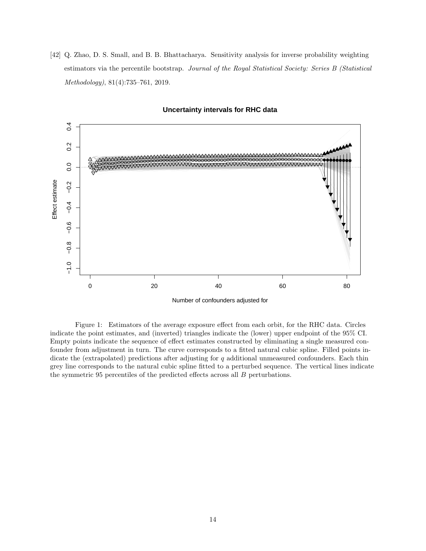<span id="page-13-1"></span>[42] Q. Zhao, D. S. Small, and B. B. Bhattacharya. Sensitivity analysis for inverse probability weighting estimators via the percentile bootstrap. Journal of the Royal Statistical Society: Series B (Statistical Methodology), 81(4):735–761, 2019.



#### **Uncertainty intervals for RHC data**

<span id="page-13-0"></span>Figure 1: Estimators of the average exposure effect from each orbit, for the RHC data. Circles indicate the point estimates, and (inverted) triangles indicate the (lower) upper endpoint of the 95% CI. Empty points indicate the sequence of effect estimates constructed by eliminating a single measured confounder from adjustment in turn. The curve corresponds to a fitted natural cubic spline. Filled points indicate the (extrapolated) predictions after adjusting for  $q$  additional unmeasured confounders. Each thin grey line corresponds to the natural cubic spline fitted to a perturbed sequence. The vertical lines indicate the symmetric 95 percentiles of the predicted effects across all B perturbations.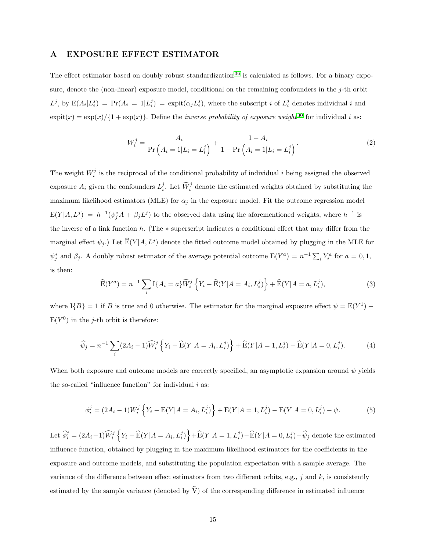#### <span id="page-14-0"></span>A EXPOSURE EFFECT ESTIMATOR

The effect estimator based on doubly robust standardization <sup>[36](#page-12-2)</sup> is calculated as follows. For a binary exposure, denote the (non-linear) exposure model, conditional on the remaining confounders in the j-th orbit  $L^j$ , by  $E(A_i|L_i^j) = Pr(A_i = 1|L_i^j) = expit(\alpha_j L_i^j)$ , where the subscript i of  $L_i^j$  denotes individual i and  $\expit(x) = \exp(x)/\{1 + \exp(x)\}\.$  Define the *inverse probability of exposure weight*<sup>[30](#page-12-6)</sup> for individual *i* as:

<span id="page-14-1"></span>
$$
W_i^j = \frac{A_i}{\Pr\left(A_i = 1 | L_i = L_i^j\right)} + \frac{1 - A_i}{1 - \Pr\left(A_i = 1 | L_i = L_i^j\right)}.
$$
\n(2)

The weight  $W_i^j$  is the reciprocal of the conditional probability of individual i being assigned the observed exposure  $A_i$  given the confounders  $L_i^j$ . Let  $\widehat{W}_i^j$  denote the estimated weights obtained by substituting the maximum likelihood estimators (MLE) for  $\alpha_j$  in the exposure model. Fit the outcome regression model  $E(Y|A, L^j) = h^{-1}(\psi_j^*A + \beta_j L^j)$  to the observed data using the aforementioned weights, where  $h^{-1}$  is the inverse of a link function h. (The ∗ superscript indicates a conditional effect that may differ from the marginal effect  $\psi_j$ .) Let  $\widehat{E}(Y|A, L^j)$  denote the fitted outcome model obtained by plugging in the MLE for  $\psi_j^*$  and  $\beta_j$ . A doubly robust estimator of the average potential outcome  $E(Y^a) = n^{-1} \sum_i Y_i^a$  for  $a = 0, 1$ , is then:

$$
\widehat{\mathcal{E}}(Y^{a}) = n^{-1} \sum_{i} \mathcal{I}\{A_{i} = a\} \widehat{W}_{i}^{j} \left\{ Y_{i} - \widehat{\mathcal{E}}(Y | A = A_{i}, L_{i}^{j}) \right\} + \widehat{\mathcal{E}}(Y | A = a, L_{i}^{j}),
$$
\n(3)

where  $I{B} = 1$  if B is true and 0 otherwise. The estimator for the marginal exposure effect  $\psi = E(Y^1)$  $E(Y^0)$  in the j-th orbit is therefore:

$$
\widehat{\psi}_j = n^{-1} \sum_i (2A_i - 1) \widehat{W}_i^j \left\{ Y_i - \widehat{E}(Y | A = A_i, L_i^j) \right\} + \widehat{E}(Y | A = 1, L_i^j) - \widehat{E}(Y | A = 0, L_i^j). \tag{4}
$$

When both exposure and outcome models are correctly specified, an asymptotic expansion around  $\psi$  yields the so-called "influence function" for individual  $i$  as:

$$
\phi_i^j = (2A_i - 1)W_i^j \left\{ Y_i - \mathbb{E}(Y | A = A_i, L_i^j) \right\} + \mathbb{E}(Y | A = 1, L_i^j) - \mathbb{E}(Y | A = 0, L_i^j) - \psi.
$$
 (5)

Let  $\widehat{\phi}_i^j = (2A_i - 1) \widehat{W}_i^j \left\{ Y_i - \widehat{E}(Y | A = A_i, L_i^j) \right\} + \widehat{E}(Y | A = 1, L_i^j) - \widehat{E}(Y | A = 0, L_i^j) - \widehat{\psi}_j$  denote the estimated influence function, obtained by plugging in the maximum likelihood estimators for the coefficients in the exposure and outcome models, and substituting the population expectation with a sample average. The variance of the difference between effect estimators from two different orbits, e.g.,  $j$  and  $k$ , is consistently estimated by the sample variance (denoted by  $\hat{V}$ ) of the corresponding difference in estimated influence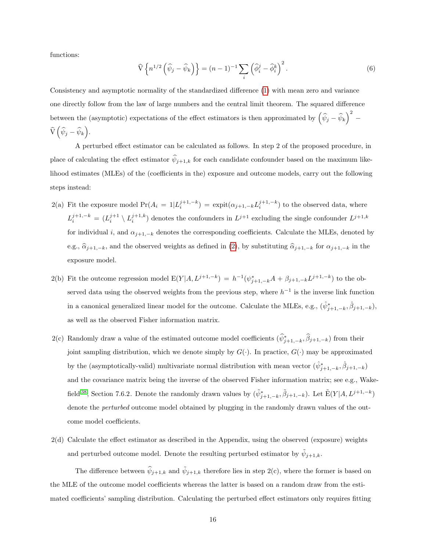functions:

$$
\widehat{\mathbf{V}}\left\{n^{1/2}\left(\widehat{\psi}_j-\widehat{\psi}_k\right)\right\}=(n-1)^{-1}\sum_i\left(\widehat{\phi}_i^j-\widehat{\phi}_i^k\right)^2.
$$
\n(6)

Consistency and asymptotic normality of the standardized difference [\(1\)](#page-3-0) with mean zero and variance one directly follow from the law of large numbers and the central limit theorem. The squared difference between the (asymptotic) expectations of the effect estimators is then approximated by  $(\hat{\psi}_j - \hat{\psi}_k)^2$  –  $\widehat{\mathrm{V}}\left( \widehat{\psi}_j - \widehat{\psi}_k \right)$ .

A perturbed effect estimator can be calculated as follows. In step 2 of the proposed procedure, in place of calculating the effect estimator  $\hat{\psi}_{j+1,k}$  for each candidate confounder based on the maximum likelihood estimates (MLEs) of the (coefficients in the) exposure and outcome models, carry out the following steps instead:

- 2(a) Fit the exposure model  $Pr(A_i = 1 | L_i^{j+1,-k}) = expit(\alpha_{j+1,-k} L_i^{j+1,-k})$  to the observed data, where  $L_i^{j+1,-k} = (L_i^{j+1} \setminus L_i^{j+1,k})$  denotes the confounders in  $L^{j+1}$  excluding the single confounder  $L^{j+1,k}$ for individual i, and  $\alpha_{j+1,-k}$  denotes the corresponding coefficients. Calculate the MLEs, denoted by e.g.,  $\hat{\alpha}_{j+1,-k}$ , and the observed weights as defined in [\(2\)](#page-14-1), by substituting  $\hat{\alpha}_{j+1,-k}$  for  $\alpha_{j+1,-k}$  in the exposure model.
- 2(b) Fit the outcome regression model  $E(Y|A, L^{j+1,-k}) = h^{-1}(\psi_{j+1,-k}^*A + \beta_{j+1,-k}L^{j+1,-k})$  to the observed data using the observed weights from the previous step, where  $h^{-1}$  is the inverse link function in a canonical generalized linear model for the outcome. Calculate the MLEs, e.g.,  $(\hat{\psi}_{j+1,-k}^*, \hat{\beta}_{j+1,-k}),$ as well as the observed Fisher information matrix.
- 2(c) Randomly draw a value of the estimated outcome model coefficients  $(\hat{\psi}_{j+1,-k}^*, \hat{\beta}_{j+1,-k})$  from their joint sampling distribution, which we denote simply by  $G(\cdot)$ . In practice,  $G(\cdot)$  may be approximated by the (asymptotically-valid) multivariate normal distribution with mean vector  $(\hat{\psi}_{j+1,-k}^*, \hat{\beta}_{j+1,-k})$ and the covariance matrix being the inverse of the observed Fisher information matrix; see e.g., Wake-field <sup>[38](#page-12-7)</sup>, Section 7.6.2. Denote the randomly drawn values by  $(\tilde{\psi}_{j+1,-k}^*, \tilde{\beta}_{j+1,-k})$ . Let  $\tilde{E}(Y|A, L^{j+1,-k})$ denote the *perturbed* outcome model obtained by plugging in the randomly drawn values of the outcome model coefficients.
- 2(d) Calculate the effect estimator as described in the Appendix, using the observed (exposure) weights and perturbed outcome model. Denote the resulting perturbed estimator by  $\tilde{\psi}_{j+1,k}$ .

The difference between  $\hat{\psi}_{j+1,k}$  and  $\hat{\psi}_{j+1,k}$  therefore lies in step 2(c), where the former is based on the MLE of the outcome model coefficients whereas the latter is based on a random draw from the estimated coefficients' sampling distribution. Calculating the perturbed effect estimators only requires fitting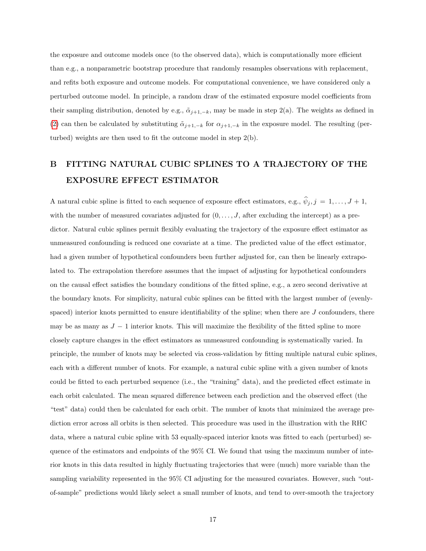the exposure and outcome models once (to the observed data), which is computationally more efficient than e.g., a nonparametric bootstrap procedure that randomly resamples observations with replacement, and refits both exposure and outcome models. For computational convenience, we have considered only a perturbed outcome model. In principle, a random draw of the estimated exposure model coefficients from their sampling distribution, denoted by e.g.,  $\tilde{\alpha}_{j+1,-k}$ , may be made in step 2(a). The weights as defined in [\(2\)](#page-14-1) can then be calculated by substituting  $\tilde{\alpha}_{j+1,-k}$  for  $\alpha_{j+1,-k}$  in the exposure model. The resulting (perturbed) weights are then used to fit the outcome model in step 2(b).

# <span id="page-16-0"></span>B FITTING NATURAL CUBIC SPLINES TO A TRAJECTORY OF THE EXPOSURE EFFECT ESTIMATOR

A natural cubic spline is fitted to each sequence of exposure effect estimators, e.g.,  $\hat{\psi}_j$ ,  $j = 1, \ldots, J + 1$ , with the number of measured covariates adjusted for  $(0, \ldots, J)$ , after excluding the intercept) as a predictor. Natural cubic splines permit flexibly evaluating the trajectory of the exposure effect estimator as unmeasured confounding is reduced one covariate at a time. The predicted value of the effect estimator, had a given number of hypothetical confounders been further adjusted for, can then be linearly extrapolated to. The extrapolation therefore assumes that the impact of adjusting for hypothetical confounders on the causal effect satisfies the boundary conditions of the fitted spline, e.g., a zero second derivative at the boundary knots. For simplicity, natural cubic splines can be fitted with the largest number of (evenlyspaced) interior knots permitted to ensure identifiability of the spline; when there are  $J$  confounders, there may be as many as  $J - 1$  interior knots. This will maximize the flexibility of the fitted spline to more closely capture changes in the effect estimators as unmeasured confounding is systematically varied. In principle, the number of knots may be selected via cross-validation by fitting multiple natural cubic splines, each with a different number of knots. For example, a natural cubic spline with a given number of knots could be fitted to each perturbed sequence (i.e., the "training" data), and the predicted effect estimate in each orbit calculated. The mean squared difference between each prediction and the observed effect (the "test" data) could then be calculated for each orbit. The number of knots that minimized the average prediction error across all orbits is then selected. This procedure was used in the illustration with the RHC data, where a natural cubic spline with 53 equally-spaced interior knots was fitted to each (perturbed) sequence of the estimators and endpoints of the 95% CI. We found that using the maximum number of interior knots in this data resulted in highly fluctuating trajectories that were (much) more variable than the sampling variability represented in the 95% CI adjusting for the measured covariates. However, such "outof-sample" predictions would likely select a small number of knots, and tend to over-smooth the trajectory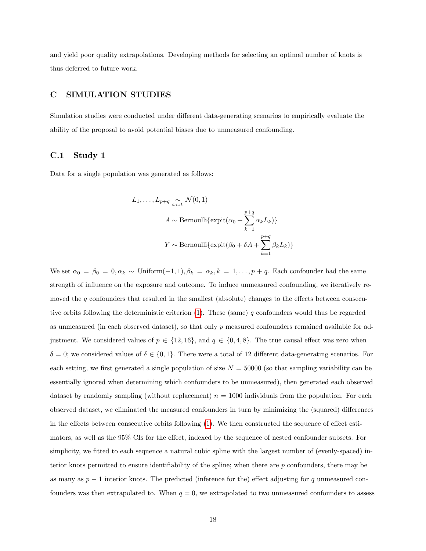and yield poor quality extrapolations. Developing methods for selecting an optimal number of knots is thus deferred to future work.

#### <span id="page-17-0"></span>C SIMULATION STUDIES

Simulation studies were conducted under different data-generating scenarios to empirically evaluate the ability of the proposal to avoid potential biases due to unmeasured confounding.

#### C.1 Study 1

Data for a single population was generated as follows:

$$
L_1, \ldots, L_{p+q} \underset{i.i.d.}{\sim} \mathcal{N}(0, 1)
$$
  

$$
A \sim \text{Bernoulli}\{\text{expit}(\alpha_0 + \sum_{k=1}^{p+q} \alpha_k L_k)\}
$$
  

$$
Y \sim \text{Bernoulli}\{\text{expit}(\beta_0 + \delta A + \sum_{k=1}^{p+q} \beta_k L_k)\}
$$

We set  $\alpha_0 = \beta_0 = 0, \alpha_k \sim \text{Uniform}(-1, 1), \beta_k = \alpha_k, k = 1, \ldots, p + q$ . Each confounder had the same strength of influence on the exposure and outcome. To induce unmeasured confounding, we iteratively removed the q confounders that resulted in the smallest (absolute) changes to the effects between consecutive orbits following the deterministic criterion  $(1)$ . These (same) q confounders would thus be regarded as unmeasured (in each observed dataset), so that only p measured confounders remained available for adjustment. We considered values of  $p \in \{12, 16\}$ , and  $q \in \{0, 4, 8\}$ . The true causal effect was zero when  $\delta = 0$ ; we considered values of  $\delta \in \{0,1\}$ . There were a total of 12 different data-generating scenarios. For each setting, we first generated a single population of size  $N = 50000$  (so that sampling variability can be essentially ignored when determining which confounders to be unmeasured), then generated each observed dataset by randomly sampling (without replacement)  $n = 1000$  individuals from the population. For each observed dataset, we eliminated the measured confounders in turn by minimizing the (squared) differences in the effects between consecutive orbits following [\(1\)](#page-3-0). We then constructed the sequence of effect estimators, as well as the 95% CIs for the effect, indexed by the sequence of nested confounder subsets. For simplicity, we fitted to each sequence a natural cubic spline with the largest number of (evenly-spaced) interior knots permitted to ensure identifiability of the spline; when there are  $p$  confounders, there may be as many as  $p-1$  interior knots. The predicted (inference for the) effect adjusting for q unmeasured confounders was then extrapolated to. When  $q = 0$ , we extrapolated to two unmeasured confounders to assess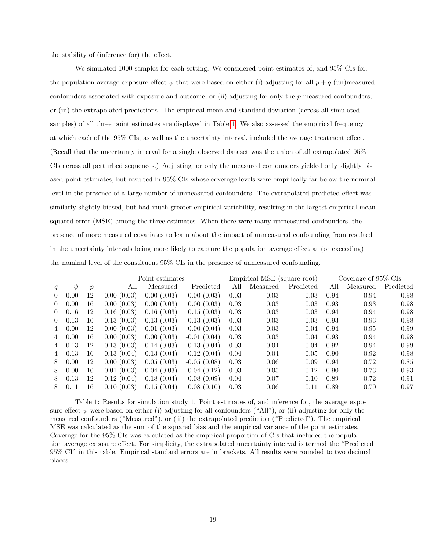the stability of (inference for) the effect.

We simulated 1000 samples for each setting. We considered point estimates of, and 95% CIs for, the population average exposure effect  $\psi$  that were based on either (i) adjusting for all  $p + q$  (un)measured confounders associated with exposure and outcome, or (ii) adjusting for only the  $p$  measured confounders, or (iii) the extrapolated predictions. The empirical mean and standard deviation (across all simulated samples) of all three point estimates are displayed in Table [1.](#page-18-0) We also assessed the empirical frequency at which each of the 95% CIs, as well as the uncertainty interval, included the average treatment effect. (Recall that the uncertainty interval for a single observed dataset was the union of all extrapolated 95% CIs across all perturbed sequences.) Adjusting for only the measured confounders yielded only slightly biased point estimates, but resulted in 95% CIs whose coverage levels were empirically far below the nominal level in the presence of a large number of unmeasured confounders. The extrapolated predicted effect was similarly slightly biased, but had much greater empirical variability, resulting in the largest empirical mean squared error (MSE) among the three estimates. When there were many unmeasured confounders, the presence of more measured covariates to learn about the impact of unmeasured confounding from resulted in the uncertainty intervals being more likely to capture the population average effect at (or exceeding) the nominal level of the constituent 95% CIs in the presence of unmeasured confounding.

|          |        |                  |               | Point estimates |               |      | Empirical MSE (square root) |           | Coverage of 95% CIs |          |           |
|----------|--------|------------------|---------------|-----------------|---------------|------|-----------------------------|-----------|---------------------|----------|-----------|
| q        | $\psi$ | $\boldsymbol{p}$ | All           | Measured        | Predicted     | All  | Measured                    | Predicted | All                 | Measured | Predicted |
| $\theta$ | 0.00   | 12               | 0.00(0.03)    | 0.00(0.03)      | 0.00(0.03)    | 0.03 | 0.03                        | 0.03      | 0.94                | 0.94     | 0.98      |
| 0        | 0.00   | 16               | 0.00(0.03)    | 0.00(0.03)      | 0.00(0.03)    | 0.03 | 0.03                        | 0.03      | 0.93                | 0.93     | 0.98      |
| $\theta$ | 0.16   | 12               | 0.16(0.03)    | 0.16(0.03)      | 0.15(0.03)    | 0.03 | 0.03                        | 0.03      | 0.94                | 0.94     | 0.98      |
| 0        | 0.13   | 16               | 0.13(0.03)    | 0.13(0.03)      | 0.13(0.03)    | 0.03 | 0.03                        | 0.03      | 0.93                | 0.93     | 0.98      |
| 4        | 0.00   | 12               | 0.00(0.03)    | 0.01(0.03)      | 0.00(0.04)    | 0.03 | 0.03                        | 0.04      | 0.94                | 0.95     | 0.99      |
| 4        | 0.00   | 16               | 0.00(0.03)    | 0.00(0.03)      | $-0.01(0.04)$ | 0.03 | 0.03                        | 0.04      | 0.93                | 0.94     | 0.98      |
| 4        | 0.13   | 12               | 0.13(0.03)    | 0.14(0.03)      | 0.13(0.04)    | 0.03 | 0.04                        | 0.04      | 0.92                | 0.94     | 0.99      |
| 4        | 0.13   | 16               | 0.13(0.04)    | 0.13(0.04)      | 0.12(0.04)    | 0.04 | 0.04                        | 0.05      | 0.90                | 0.92     | 0.98      |
| 8        | 0.00   | 12               | 0.00(0.03)    | 0.05(0.03)      | $-0.05(0.08)$ | 0.03 | 0.06                        | 0.09      | 0.94                | 0.72     | 0.85      |
| 8        | 0.00   | 16               | $-0.01(0.03)$ | 0.04(0.03)      | $-0.04(0.12)$ | 0.03 | 0.05                        | 0.12      | 0.90                | 0.73     | 0.93      |
| 8        | 0.13   | 12               | 0.12(0.04)    | 0.18(0.04)      | 0.08(0.09)    | 0.04 | 0.07                        | 0.10      | 0.89                | 0.72     | 0.91      |
| 8        | 0.11   | 16               | 0.10(0.03)    | 0.15(0.04)      | 0.08(0.10)    | 0.03 | 0.06                        | 0.11      | 0.89                | 0.70     | 0.97      |

<span id="page-18-0"></span>Table 1: Results for simulation study 1. Point estimates of, and inference for, the average exposure effect  $\psi$  were based on either (i) adjusting for all confounders ("All"), or (ii) adjusting for only the measured confounders ("Measured"), or (iii) the extrapolated prediction ("Predicted"). The empirical MSE was calculated as the sum of the squared bias and the empirical variance of the point estimates. Coverage for the 95% CIs was calculated as the empirical proportion of CIs that included the population average exposure effect. For simplicity, the extrapolated uncertainty interval is termed the "Predicted 95% CI" in this table. Empirical standard errors are in brackets. All results were rounded to two decimal places.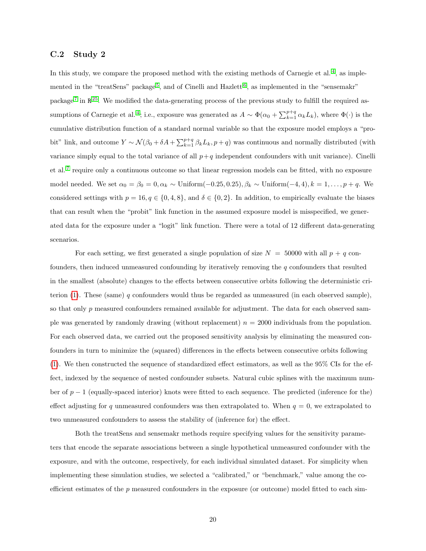#### C.2 Study 2

In this study, we compare the proposed method with the existing methods of Carnegie et al.<sup>[4](#page-9-1)</sup>, as imple-mented in the "treatSens" package<sup>[5](#page-9-3)</sup>, and of Cinelli and Hazlett<sup>[6](#page-9-4)</sup>, as implemented in the "sensemakr" package<sup>[7](#page-10-7)</sup> in  $\mathbb{R}^{25}$  $\mathbb{R}^{25}$  $\mathbb{R}^{25}$ . We modified the data-generating process of the previous study to fulfill the required as-sumptions of Carnegie et al.<sup>[4](#page-9-1)</sup>; i.e., exposure was generated as  $A \sim \Phi(\alpha_0 + \sum_{k=1}^{p+q} \alpha_k L_k)$ , where  $\Phi(\cdot)$  is the cumulative distribution function of a standard normal variable so that the exposure model employs a "probit" link, and outcome  $Y \sim \mathcal{N}(\beta_0 + \delta A + \sum_{k=1}^{p+q} \beta_k L_k, p+q)$  was continuous and normally distributed (with variance simply equal to the total variance of all  $p+q$  independent confounders with unit variance). Cinelli et al.<sup>[7](#page-10-7)</sup> require only a continuous outcome so that linear regression models can be fitted, with no exposure model needed. We set  $\alpha_0 = \beta_0 = 0, \alpha_k \sim \text{Uniform}(-0.25, 0.25), \beta_k \sim \text{Uniform}(-4, 4), k = 1, \ldots, p + q$ . We considered settings with  $p = 16, q \in \{0, 4, 8\}$ , and  $\delta \in \{0, 2\}$ . In addition, to empirically evaluate the biases that can result when the "probit" link function in the assumed exposure model is misspecified, we generated data for the exposure under a "logit" link function. There were a total of 12 different data-generating scenarios.

For each setting, we first generated a single population of size  $N = 50000$  with all  $p + q$  confounders, then induced unmeasured confounding by iteratively removing the q confounders that resulted in the smallest (absolute) changes to the effects between consecutive orbits following the deterministic cri-terion [\(1\)](#page-3-0). These (same) q confounders would thus be regarded as unmeasured (in each observed sample), so that only p measured confounders remained available for adjustment. The data for each observed sample was generated by randomly drawing (without replacement)  $n = 2000$  individuals from the population. For each observed data, we carried out the proposed sensitivity analysis by eliminating the measured confounders in turn to minimize the (squared) differences in the effects between consecutive orbits following [\(1\)](#page-3-0). We then constructed the sequence of standardized effect estimators, as well as the 95% CIs for the effect, indexed by the sequence of nested confounder subsets. Natural cubic splines with the maximum number of  $p-1$  (equally-spaced interior) knots were fitted to each sequence. The predicted (inference for the) effect adjusting for q unmeasured confounders was then extrapolated to. When  $q = 0$ , we extrapolated to two unmeasured confounders to assess the stability of (inference for) the effect.

Both the treatSens and sensemakr methods require specifying values for the sensitivity parameters that encode the separate associations between a single hypothetical unmeasured confounder with the exposure, and with the outcome, respectively, for each individual simulated dataset. For simplicity when implementing these simulation studies, we selected a "calibrated," or "benchmark," value among the coefficient estimates of the p measured confounders in the exposure (or outcome) model fitted to each sim-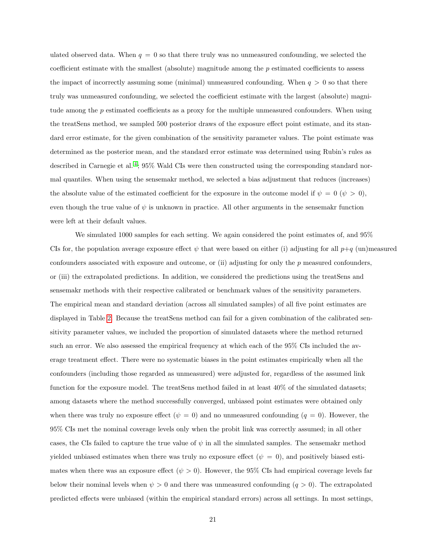ulated observed data. When  $q = 0$  so that there truly was no unmeasured confounding, we selected the coefficient estimate with the smallest (absolute) magnitude among the  $p$  estimated coefficients to assess the impact of incorrectly assuming some (minimal) unmeasured confounding. When  $q > 0$  so that there truly was unmeasured confounding, we selected the coefficient estimate with the largest (absolute) magnitude among the  $p$  estimated coefficients as a proxy for the multiple unmeasured confounders. When using the treatSens method, we sampled 500 posterior draws of the exposure effect point estimate, and its standard error estimate, for the given combination of the sensitivity parameter values. The point estimate was determined as the posterior mean, and the standard error estimate was determined using Rubin's rules as described in Carnegie et al.<sup>[4](#page-9-1)</sup>; 95% Wald CIs were then constructed using the corresponding standard normal quantiles. When using the sensemakr method, we selected a bias adjustment that reduces (increases) the absolute value of the estimated coefficient for the exposure in the outcome model if  $\psi = 0 \ (\psi > 0)$ , even though the true value of  $\psi$  is unknown in practice. All other arguments in the sensemakr function were left at their default values.

We simulated 1000 samples for each setting. We again considered the point estimates of, and 95% CIs for, the population average exposure effect  $\psi$  that were based on either (i) adjusting for all  $p+q$  (un)measured confounders associated with exposure and outcome, or (ii) adjusting for only the p measured confounders, or (iii) the extrapolated predictions. In addition, we considered the predictions using the treatSens and sensemakr methods with their respective calibrated or benchmark values of the sensitivity parameters. The empirical mean and standard deviation (across all simulated samples) of all five point estimates are displayed in Table [2.](#page-22-0) Because the treatSens method can fail for a given combination of the calibrated sensitivity parameter values, we included the proportion of simulated datasets where the method returned such an error. We also assessed the empirical frequency at which each of the 95% CIs included the average treatment effect. There were no systematic biases in the point estimates empirically when all the confounders (including those regarded as unmeasured) were adjusted for, regardless of the assumed link function for the exposure model. The treatSens method failed in at least 40% of the simulated datasets; among datasets where the method successfully converged, unbiased point estimates were obtained only when there was truly no exposure effect ( $\psi = 0$ ) and no unmeasured confounding ( $q = 0$ ). However, the 95% CIs met the nominal coverage levels only when the probit link was correctly assumed; in all other cases, the CIs failed to capture the true value of  $\psi$  in all the simulated samples. The sensemakr method yielded unbiased estimates when there was truly no exposure effect  $(\psi = 0)$ , and positively biased estimates when there was an exposure effect ( $\psi > 0$ ). However, the 95% CIs had empirical coverage levels far below their nominal levels when  $\psi > 0$  and there was unmeasured confounding  $(q > 0)$ . The extrapolated predicted effects were unbiased (within the empirical standard errors) across all settings. In most settings,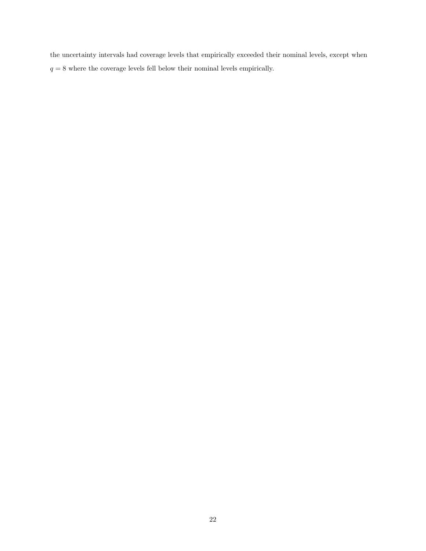the uncertainty intervals had coverage levels that empirically exceeded their nominal levels, except when  $q = 8$  where the coverage levels fell below their nominal levels empirically.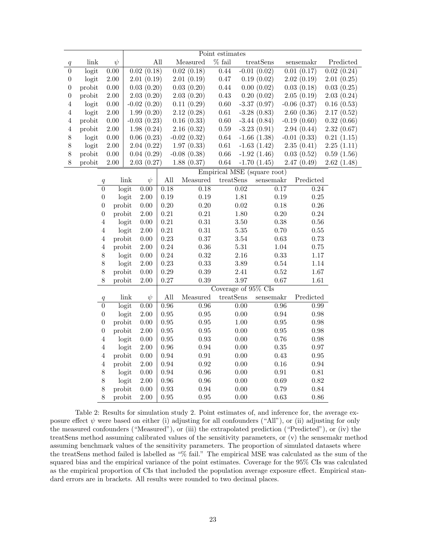|                  |        |                  |                   | Point estimates       |               |                             |               |                     |                    |               |                   |                            |            |
|------------------|--------|------------------|-------------------|-----------------------|---------------|-----------------------------|---------------|---------------------|--------------------|---------------|-------------------|----------------------------|------------|
| $\boldsymbol{q}$ | link   |                  | $\psi$            |                       |               | All                         | Measured      | $\%$ fail           |                    | treatSens     |                   | sensemakr                  | Predicted  |
| $\boldsymbol{0}$ | logit  |                  | $\overline{0.00}$ |                       | 0.02(0.18)    |                             | 0.02(0.18)    | 0.44                |                    | $-0.01(0.02)$ |                   | $\overline{0.01}$ $(0.17)$ | 0.02(0.24) |
| $\boldsymbol{0}$ | logit  |                  | $2.00\,$          |                       | 2.01(0.19)    |                             | 2.01(0.19)    | $0.47\,$            |                    | 0.19(0.02)    |                   | 2.02(0.19)                 | 2.01(0.25) |
| $\boldsymbol{0}$ | probit |                  | $0.00\,$          |                       | 0.03(0.20)    |                             | 0.03(0.20)    | 0.44                |                    | 0.00(0.02)    |                   | 0.03(0.18)                 | 0.03(0.25) |
| $\boldsymbol{0}$ | probit |                  | $2.00\,$          |                       | 2.03(0.20)    |                             | 2.03(0.20)    | 0.43                |                    | 0.20(0.02)    |                   | 2.05(0.19)                 | 2.03(0.24) |
| $\,4\,$          | logit  |                  | $0.00\,$          |                       | $-0.02(0.20)$ |                             | 0.11(0.29)    | $0.60\,$            |                    | $-3.37(0.97)$ |                   | $-0.06$ $(0.37)$           | 0.16(0.53) |
| 4                | logit  |                  | $2.00\,$          |                       | 1.99(0.20)    |                             | 2.12(0.28)    | $0.61\,$            |                    | $-3.28(0.83)$ |                   | 2.60(0.36)                 | 2.17(0.52) |
| 4                | probit |                  | $0.00\,$          |                       | $-0.03(0.23)$ |                             | 0.16(0.33)    | $0.60\,$            |                    | $-3.44(0.84)$ |                   | $-0.19(0.60)$              | 0.32(0.66) |
| $\overline{4}$   | probit |                  | $2.00\,$          | 1.98(0.24)            |               |                             | 2.16(0.32)    | $0.59\,$            |                    | $-3.23(0.91)$ |                   | 2.94(0.44)                 | 2.32(0.67) |
| $8\,$            | logit  |                  | $0.00\,$          | 0.06(0.23)            |               |                             | $-0.02(0.32)$ | $\,0.64\,$          |                    | $-1.66(1.38)$ |                   | $-0.01(0.33)$              | 0.21(1.15) |
| $8\,$            | logit  |                  | $2.00\,$          |                       | 2.04(0.22)    |                             | 1.97(0.33)    | $0.61\,$            |                    | $-1.63(1.42)$ |                   | 2.35(0.41)                 | 2.25(1.11) |
| $8\,$            | probit |                  | $0.00\,$          |                       | 0.04(0.29)    |                             | $-0.08(0.38)$ | $0.66\,$            |                    | $-1.92(1.46)$ |                   | 0.03(0.52)                 | 0.59(1.56) |
| $8\,$            | probit |                  | $2.00\,$          |                       | 2.03(0.27)    |                             | 1.88(0.37)    | $\,0.64\,$          |                    | $-1.70(1.45)$ |                   | 2.47(0.49)                 | 2.62(1.48) |
|                  |        |                  |                   |                       |               | Empirical MSE (square root) |               |                     |                    |               |                   |                            |            |
|                  |        | q                |                   | $\operatorname{link}$ | $\psi$        | All                         | Measured      | treatSens           |                    | sensemakr     |                   | Predicted                  |            |
|                  |        | $\overline{0}$   |                   | logit                 | $0.00\,$      | 0.18                        | 0.18          |                     | 0.02               |               | 0.17              | 0.24                       |            |
|                  |        | $\boldsymbol{0}$ |                   | logit                 | $2.00\,$      | 0.19                        | $0.19\,$      |                     | 1.81               |               | $0.19\,$          | $0.25\,$                   |            |
|                  |        | $\boldsymbol{0}$ | probit            |                       | $0.00\,$      | 0.20                        | 0.20          |                     | $0.02\,$           |               | 0.18              | $0.26\,$                   |            |
|                  |        | $\boldsymbol{0}$ | probit            |                       | $2.00\,$      | $\rm 0.21$                  | $\rm 0.21$    |                     | $1.80\,$           |               | $0.20\,$          | 0.24                       |            |
|                  |        | $\overline{4}$   |                   | logit                 | $0.00\,$      | $0.21\,$                    | $0.31\,$      |                     | $3.50\,$           |               | $0.38\,$          | $0.56\,$                   |            |
|                  |        | $\overline{4}$   |                   | logit                 | $2.00\,$      | $\rm 0.21$                  | $\rm 0.31$    |                     | $5.35\,$           |               | 0.70              | 0.55                       |            |
|                  |        | $\overline{4}$   | probit            |                       | $0.00\,$      | $0.23\,$                    | $0.37\,$      |                     | $3.54\,$           |               | $0.63\,$          | 0.73                       |            |
|                  |        | $\,4\,$          | probit            |                       | $2.00\,$      | 0.24                        | $0.36\,$      |                     | $5.31\,$           |               | 1.04              | 0.75                       |            |
|                  |        | 8                |                   | logit                 | $0.00\,$      | $0.24\,$                    | $\rm 0.32$    |                     | $2.16\,$           |               | $0.33\,$          | $1.17\,$                   |            |
|                  |        | 8                |                   | logit                 | $2.00\,$      | 0.23                        | 0.33          |                     | 3.89               |               | $0.54\,$          | 1.14                       |            |
|                  |        | 8                | probit            |                       | $0.00\,$      | $0.29\,$                    | 0.39          |                     | 2.41               |               | $\rm 0.52$        | $1.67\,$                   |            |
|                  |        | 8                | probit            |                       | $2.00\,$      | $0.27\,$                    | 0.39          |                     | 3.97               |               | 0.67              | 1.61                       |            |
|                  |        |                  |                   |                       |               |                             |               | Coverage of 95% CIs |                    |               |                   |                            |            |
|                  |        | $\boldsymbol{q}$ |                   | link                  | $\psi$        | All                         | Measured      |                     | $\mbox{treatSens}$ | $s$ ensemakr  |                   | Predicted                  |            |
|                  |        | $\overline{0}$   |                   | logit                 | 0.00          | 0.96                        | 0.96          |                     | 0.00               |               | $\overline{0.96}$ | 0.99                       |            |
|                  |        | $\boldsymbol{0}$ |                   | logit                 | $2.00\,$      | $0.95\,$                    | $\rm 0.95$    |                     | $0.00\,$           |               | 0.94              | 0.98                       |            |
|                  |        | $\boldsymbol{0}$ | probit            |                       | $0.00\,$      | $0.95\,$                    | $\rm 0.95$    |                     | $1.00\,$           |               | $\rm 0.95$        | 0.98                       |            |
|                  |        | $\boldsymbol{0}$ | probit            |                       | $2.00\,$      | $0.95\,$                    | $\rm 0.95$    |                     | $0.00\,$           |               | $0.95\,$          | 0.98                       |            |
|                  |        | $\,4\,$          |                   | logit                 | $0.00\,$      | $0.95\,$                    | $\rm 0.93$    |                     | $0.00\,$           |               | $0.76\,$          | 0.98                       |            |
|                  |        | $\overline{4}$   |                   | logit                 | $2.00\,$      | $0.96\,$                    | 0.94          |                     | $0.00\,$           |               | $0.35\,$          | $0.97\,$                   |            |
|                  |        | $\,4\,$          | probit            |                       | $0.00\,$      | 0.94                        | $\rm 0.91$    |                     | $0.00\,$           |               | 0.43              | $\rm 0.95$                 |            |
|                  |        | $\,4\,$          | probit            |                       | $2.00\,$      | 0.94                        | $\rm 0.92$    |                     | $0.00\,$           |               | $0.16\,$          | $\rm 0.94$                 |            |
|                  |        | 8                |                   | logit                 | 0.00          | 0.94                        | $0.96\,$      |                     | $0.00\,$           |               | $\rm 0.91$        | $\rm 0.81$                 |            |
|                  |        | $8\,$            |                   | logit                 | $2.00\,$      | $0.96\,$                    | $\rm 0.96$    |                     | $0.00\,$           |               | 0.69              | 0.82                       |            |
|                  |        | 8                | probit            |                       | 0.00          | 0.93                        | 0.94          |                     | 0.00               |               | 0.79              | 0.84                       |            |
|                  |        | 8                | probit            |                       | $2.00\,$      | 0.95                        | 0.95          |                     | 0.00               |               | 0.63              | 0.86                       |            |

<span id="page-22-0"></span>Table 2: Results for simulation study 2. Point estimates of, and inference for, the average exposure effect  $\psi$  were based on either (i) adjusting for all confounders ("All"), or (ii) adjusting for only the measured confounders ("Measured"), or (iii) the extrapolated prediction ("Predicted"), or (iv) the treatSens method assuming calibrated values of the sensitivity parameters, or (v) the sensemakr method assuming benchmark values of the sensitivity parameters. The proportion of simulated datasets where the treatSens method failed is labelled as "% fail." The empirical MSE was calculated as the sum of the squared bias and the empirical variance of the point estimates. Coverage for the 95% CIs was calculated as the empirical proportion of CIs that included the population average exposure effect. Empirical standard errors are in brackets. All results were rounded to two decimal places.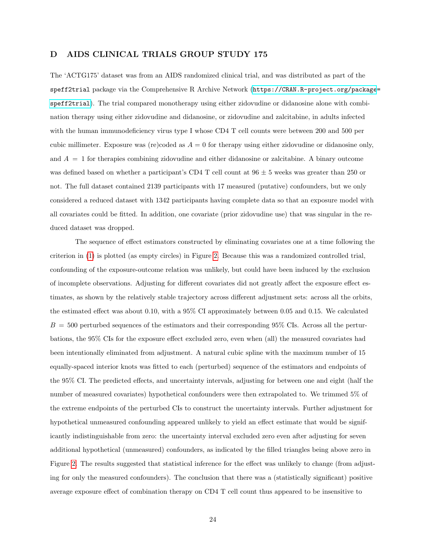#### <span id="page-23-0"></span>D AIDS CLINICAL TRIALS GROUP STUDY 175

The 'ACTG175' dataset was from an AIDS randomized clinical trial, and was distributed as part of the speff2trial package via the Comprehensive R Archive Network ([https://CRAN.R-project.org/package](https://CRAN.R-project.org/package=speff2trial)= [speff2trial](https://CRAN.R-project.org/package=speff2trial)). The trial compared monotherapy using either zidovudine or didanosine alone with combination therapy using either zidovudine and didanosine, or zidovudine and zalcitabine, in adults infected with the human immunodeficiency virus type I whose CD4 T cell counts were between 200 and 500 per cubic millimeter. Exposure was (re)coded as  $A = 0$  for therapy using either zidovudine or didanosine only, and  $A = 1$  for therapies combining zidovudine and either didanosine or zalcitabine. A binary outcome was defined based on whether a participant's CD4 T cell count at  $96 \pm 5$  weeks was greater than 250 or not. The full dataset contained 2139 participants with 17 measured (putative) confounders, but we only considered a reduced dataset with 1342 participants having complete data so that an exposure model with all covariates could be fitted. In addition, one covariate (prior zidovudine use) that was singular in the reduced dataset was dropped.

The sequence of effect estimators constructed by eliminating covariates one at a time following the criterion in [\(1\)](#page-3-0) is plotted (as empty circles) in Figure [2.](#page-24-0) Because this was a randomized controlled trial, confounding of the exposure-outcome relation was unlikely, but could have been induced by the exclusion of incomplete observations. Adjusting for different covariates did not greatly affect the exposure effect estimates, as shown by the relatively stable trajectory across different adjustment sets: across all the orbits, the estimated effect was about 0.10, with a 95% CI approximately between 0.05 and 0.15. We calculated  $B = 500$  perturbed sequences of the estimators and their corresponding 95% CIs. Across all the perturbations, the 95% CIs for the exposure effect excluded zero, even when (all) the measured covariates had been intentionally eliminated from adjustment. A natural cubic spline with the maximum number of 15 equally-spaced interior knots was fitted to each (perturbed) sequence of the estimators and endpoints of the 95% CI. The predicted effects, and uncertainty intervals, adjusting for between one and eight (half the number of measured covariates) hypothetical confounders were then extrapolated to. We trimmed 5% of the extreme endpoints of the perturbed CIs to construct the uncertainty intervals. Further adjustment for hypothetical unmeasured confounding appeared unlikely to yield an effect estimate that would be significantly indistinguishable from zero: the uncertainty interval excluded zero even after adjusting for seven additional hypothetical (unmeasured) confounders, as indicated by the filled triangles being above zero in Figure [2.](#page-24-0) The results suggested that statistical inference for the effect was unlikely to change (from adjusting for only the measured confounders). The conclusion that there was a (statistically significant) positive average exposure effect of combination therapy on CD4 T cell count thus appeared to be insensitive to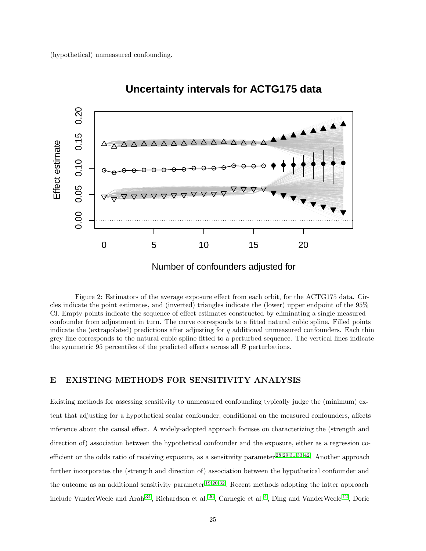

**Uncertainty intervals for ACTG175 data**

<span id="page-24-0"></span>Figure 2: Estimators of the average exposure effect from each orbit, for the ACTG175 data. Circles indicate the point estimates, and (inverted) triangles indicate the (lower) upper endpoint of the 95% CI. Empty points indicate the sequence of effect estimates constructed by eliminating a single measured confounder from adjustment in turn. The curve corresponds to a fitted natural cubic spline. Filled points indicate the (extrapolated) predictions after adjusting for  $q$  additional unmeasured confounders. Each thin grey line corresponds to the natural cubic spline fitted to a perturbed sequence. The vertical lines indicate the symmetric 95 percentiles of the predicted effects across all B perturbations.

# <span id="page-24-1"></span>E EXISTING METHODS FOR SENSITIVITY ANALYSIS

Existing methods for assessing sensitivity to unmeasured confounding typically judge the (minimum) extent that adjusting for a hypothetical scalar confounder, conditional on the measured confounders, affects inference about the causal effect. A widely-adopted approach focuses on characterizing the (strength and direction of) association between the hypothetical confounder and the exposure, either as a regression coefficient or the odds ratio of receiving exposure, as a sensitivity parameter [28,](#page-11-5)[29,](#page-12-4)[31,](#page-12-0)[33](#page-12-8)[,42](#page-13-1). Another approach further incorporates the (strength and direction of) association between the hypothetical confounder and the outcome as an additional sensitivity parameter  $19,20,32$  $19,20,32$  $19,20,32$ . Recent methods adopting the latter approach include VanderWeele and Arah<sup>[34](#page-12-10)</sup>, Richardson et al.<sup>[26](#page-11-6)</sup>, Carnegie et al.<sup>[4](#page-9-1)</sup>, Ding and VanderWeele<sup>[12](#page-10-3)</sup>, Dorie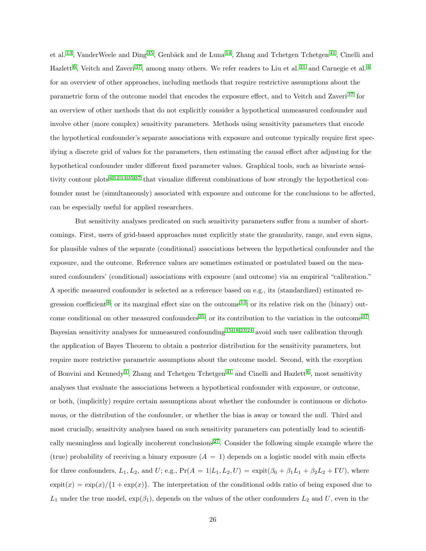et al. <sup>[13](#page-10-4)</sup>, VanderWeele and Ding<sup>[35](#page-12-11)</sup>, Genbäck and de Luna<sup>[14](#page-10-8)</sup>, Zhang and Tchetgen Tchetgen<sup>[41](#page-12-12)</sup>, Cinelli and Hazlett<sup>[6](#page-9-4)</sup>, Veitch and Zaveri<sup>[37](#page-12-5)</sup>, among many others. We refer readers to Liu et al.<sup>[21](#page-11-7)</sup> and Carnegie et al.<sup>[4](#page-9-1)</sup> for an overview of other approaches, including methods that require restrictive assumptions about the parametric form of the outcome model that encodes the exposure effect, and to Veitch and Zaveri<sup>[37](#page-12-5)</sup> for an overview of other methods that do not explicitly consider a hypothetical unmeasured confounder and involve other (more complex) sensitivity parameters. Methods using sensitivity parameters that encode the hypothetical confounder's separate associations with exposure and outcome typically require first specifying a discrete grid of values for the parameters, then estimating the causal effect after adjusting for the hypothetical confounder under different fixed parameter values. Graphical tools, such as bivariate sensitivity contour plots [4](#page-9-1)[,12,](#page-10-3)[13,](#page-10-4)[35,](#page-12-11)[37](#page-12-5) that visualize different combinations of how strongly the hypothetical confounder must be (simultaneously) associated with exposure and outcome for the conclusions to be affected, can be especially useful for applied researchers.

But sensitivity analyses predicated on such sensitivity parameters suffer from a number of shortcomings. First, users of grid-based approaches must explicitly state the granularity, range, and even signs, for plausible values of the separate (conditional) associations between the hypothetical confounder and the exposure, and the outcome. Reference values are sometimes estimated or postulated based on the measured confounders' (conditional) associations with exposure (and outcome) via an empirical "calibration." A specific measured confounder is selected as a reference based on e.g., its (standardized) estimated re-gression coefficient<sup>[4](#page-9-1)</sup>; or its marginal effect size on the outcome<sup>[13](#page-10-4)</sup>; or its relative risk on the (binary) out-come conditional on other measured confounders<sup>[35](#page-12-11)</sup>; or its contribution to the variation in the outcome<sup>[37](#page-12-5)</sup>. Bayesian sensitivity analyses for unmeasured confounding [15,](#page-10-9)[18](#page-11-8)[,23](#page-11-9)[,24](#page-11-10) avoid such user calibration through the application of Bayes Theorem to obtain a posterior distribution for the sensitivity parameters, but require more restrictive parametric assumptions about the outcome model. Second, with the exception of Bonvini and Kennedy<sup>[1](#page-9-5)</sup>, Zhang and Tchetgen Tchetgen<sup>[41](#page-12-12)</sup> and Cinelli and Hazlett<sup>[6](#page-9-4)</sup>, most sensitivity analyses that evaluate the associations between a hypothetical confounder with exposure, or outcome, or both, (implicitly) require certain assumptions about whether the confounder is continuous or dichotomous, or the distribution of the confounder, or whether the bias is away or toward the null. Third and most crucially, sensitivity analyses based on such sensitivity parameters can potentially lead to scientifi-cally meaningless and logically incoherent conclusions<sup>[27](#page-11-11)</sup>. Consider the following simple example where the (true) probability of receiving a binary exposure  $(A = 1)$  depends on a logistic model with main effects for three confounders,  $L_1, L_2$ , and  $U$ ; e.g.,  $Pr(A = 1|L_1, L_2, U) = expit(\beta_0 + \beta_1 L_1 + \beta_2 L_2 + \Gamma U)$ , where  $\exp(t(x)) = \exp(x)/\{1 + \exp(x)\}\.$  The interpretation of the conditional odds ratio of being exposed due to  $L_1$  under the true model,  $\exp(\beta_1)$ , depends on the values of the other confounders  $L_2$  and U, even in the